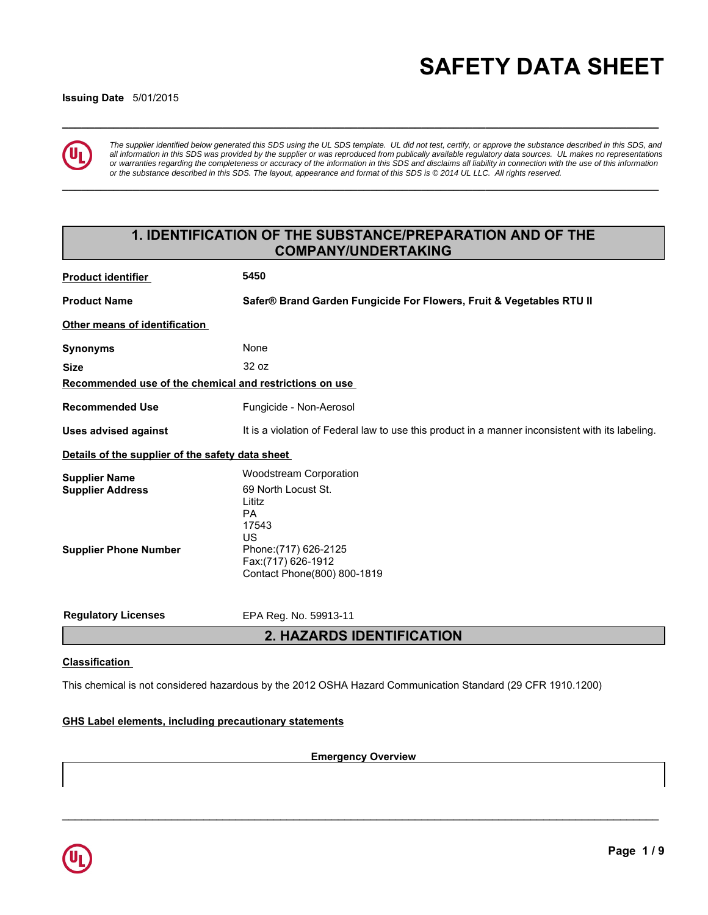# **\_\_\_\_\_\_\_\_\_\_\_\_\_\_\_\_\_\_\_\_\_\_\_\_\_\_\_\_\_\_\_\_\_\_\_\_\_\_\_\_\_\_\_\_\_\_\_\_\_\_\_\_\_\_\_\_\_\_\_\_\_\_\_\_\_\_\_\_\_\_\_\_\_\_\_\_\_\_\_\_\_\_\_\_\_\_\_\_\_\_\_\_\_ SAFETY DATA SHEET**

#### **Issuing Date** 5/01/2015



*The supplier identified below generated this SDS using the UL SDS template. UL did not test, certify, or approve the substance described in this SDS, and all information in this SDS was provided by the supplier or was reproduced from publically available regulatory data sources. UL makes no representations or warranties regarding the completeness or accuracy of the information in this SDS and disclaims all liability in connection with the use of this information or the substance described in this SDS. The layout, appearance and format of this SDS is © 2014 UL LLC. All rights reserved.*

**\_\_\_\_\_\_\_\_\_\_\_\_\_\_\_\_\_\_\_\_\_\_\_\_\_\_\_\_\_\_\_\_\_\_\_\_\_\_\_\_\_\_\_\_\_\_\_\_\_\_\_\_\_\_\_\_\_\_\_\_\_\_\_\_\_\_\_\_\_\_\_\_\_\_\_\_\_\_\_\_\_\_\_\_\_\_\_\_\_\_\_\_\_**

# **1. IDENTIFICATION OF THE SUBSTANCE/PREPARATION AND OF THE COMPANY/UNDERTAKING**

| <b>Product identifier</b>                               | 5450                                                                                             |
|---------------------------------------------------------|--------------------------------------------------------------------------------------------------|
| <b>Product Name</b>                                     | Safer® Brand Garden Fungicide For Flowers, Fruit & Vegetables RTU II                             |
| Other means of identification                           |                                                                                                  |
| <b>Synonyms</b>                                         | None                                                                                             |
| <b>Size</b>                                             | 32 oz                                                                                            |
| Recommended use of the chemical and restrictions on use |                                                                                                  |
| <b>Recommended Use</b>                                  | Fungicide - Non-Aerosol                                                                          |
| <b>Uses advised against</b>                             | It is a violation of Federal law to use this product in a manner inconsistent with its labeling. |
| Details of the supplier of the safety data sheet        |                                                                                                  |
| <b>Supplier Name</b>                                    | <b>Woodstream Corporation</b>                                                                    |
| <b>Supplier Address</b>                                 | 69 North Locust St.<br>Lititz<br>PA<br>17543<br>US                                               |
| <b>Supplier Phone Number</b>                            | Phone: (717) 626-2125<br>Fax: (717) 626-1912<br>Contact Phone(800) 800-1819                      |
| <b>Regulatory Licenses</b>                              | EPA Reg. No. 59913-11                                                                            |
|                                                         | 2. HAZARDS IDENTIFICATION                                                                        |
|                                                         |                                                                                                  |

## **Classification**

This chemical is not considered hazardous by the 2012 OSHA Hazard Communication Standard (29 CFR 1910.1200)

#### **GHS Label elements, including precautionary statements**

**Emergency Overview**

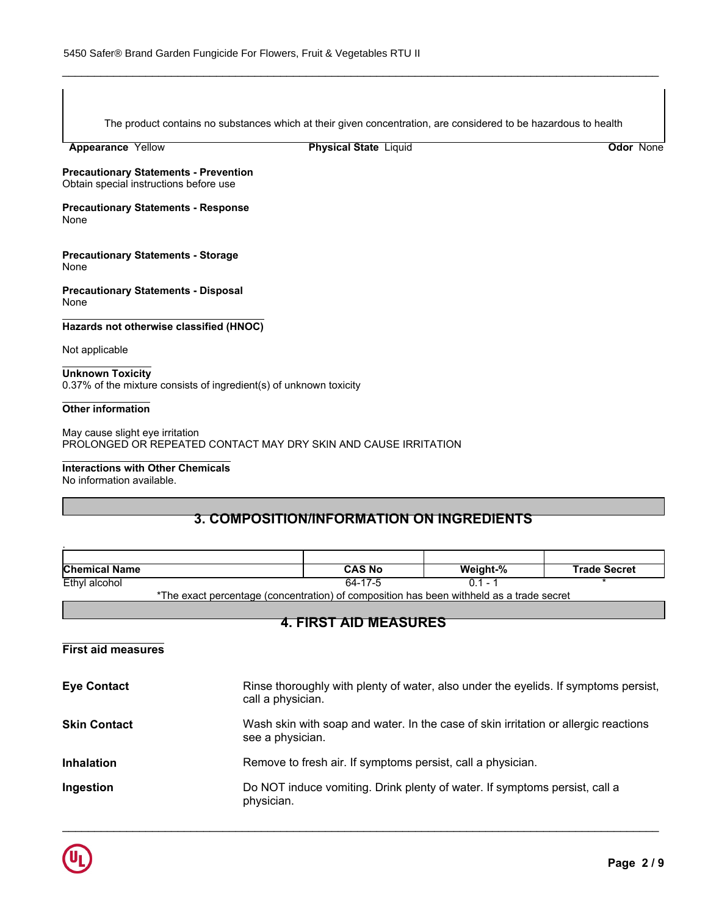The product contains no substances which at their given concentration, are considered to be hazardous to health

\_\_\_\_\_\_\_\_\_\_\_\_\_\_\_\_\_\_\_\_\_\_\_\_\_\_\_\_\_\_\_\_\_\_\_\_\_\_\_\_\_\_\_\_\_\_\_\_\_\_\_\_\_\_\_\_\_\_\_\_\_\_\_\_\_\_\_\_\_\_\_\_\_\_\_\_\_\_\_\_\_\_\_\_\_\_\_\_\_\_\_\_\_

**Appearance** Yellow

**Physical State Liquid Contract Contract Contract Contract Contract Contract Contract Contract Contract Contract Contract Contract Contract Contract Contract Contract Contract Contract Contract Contract Contract Contract C** 

**Precautionary Statements - Prevention** Obtain special instructions before use

**Precautionary Statements - Response** None

**Precautionary Statements - Storage** None

**Precautionary Statements - Disposal** None

**Hazards not otherwise classified (HNOC)**

Not applicable

**Unknown Toxicity** 0.37% of the mixture consists of ingredient(s) of unknown toxicity

#### **Other information**

.

May cause slight eye irritation PROLONGED OR REPEATED CONTACT MAY DRY SKIN AND CAUSE IRRITATION

#### **Interactions with Other Chemicals**

No information available.

# **3. COMPOSITION/INFORMATION ON INGREDIENTS**

| <b>Chemical Name</b> | CAS No                                                                                         | Weight-% | <b>Trade Secret</b> |
|----------------------|------------------------------------------------------------------------------------------------|----------|---------------------|
| Ethyl alcohol        |                                                                                                |          |                     |
|                      | ♦The concellation integral (concertable) of consecration has been with held or a finally count |          |                     |

\*The exact percentage (concentration) of composition has been withheld as a trade secret

# **4. FIRST AID MEASURES**

**First aid measures**

| <b>Eye Contact</b>  | Rinse thoroughly with plenty of water, also under the eyelids. If symptoms persist,<br>call a physician. |
|---------------------|----------------------------------------------------------------------------------------------------------|
| <b>Skin Contact</b> | Wash skin with soap and water. In the case of skin irritation or allergic reactions<br>see a physician.  |
| <b>Inhalation</b>   | Remove to fresh air. If symptoms persist, call a physician.                                              |
| Ingestion           | Do NOT induce vomiting. Drink plenty of water. If symptoms persist, call a<br>physician.                 |

 $\overline{\phantom{a}}$  , and the contribution of the contribution of the contribution of the contribution of the contribution of the contribution of the contribution of the contribution of the contribution of the contribution of the

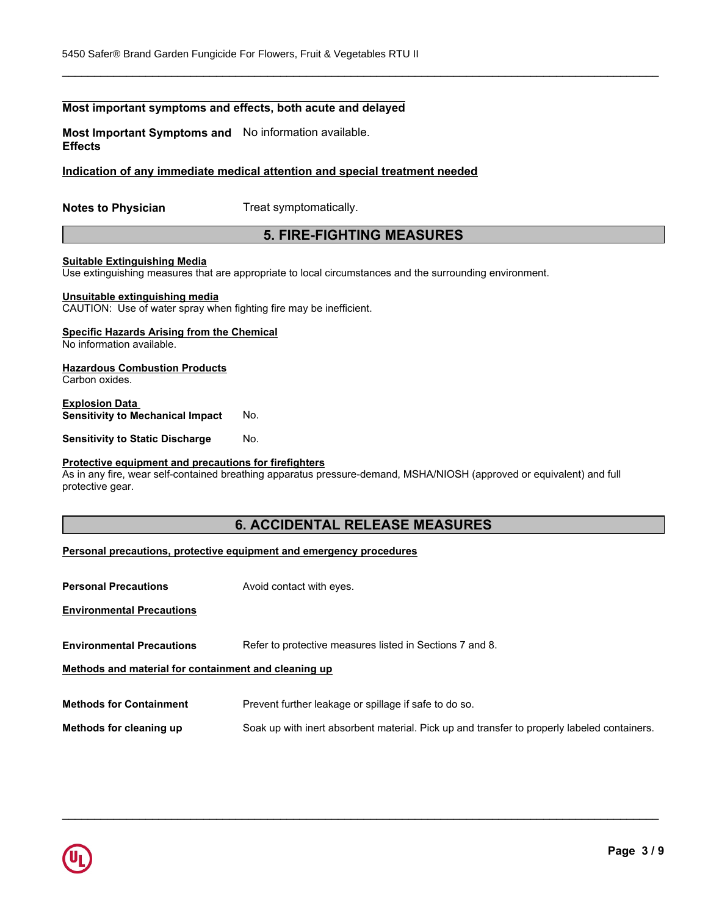# **Most important symptoms and effects, both acute and delayed**

**Most Important Symptoms and** No information available. **Effects**

#### **Indication of any immediate medical attention and special treatment needed**

**Notes to Physician** Treat symptomatically.

# **5. FIRE-FIGHTING MEASURES**

\_\_\_\_\_\_\_\_\_\_\_\_\_\_\_\_\_\_\_\_\_\_\_\_\_\_\_\_\_\_\_\_\_\_\_\_\_\_\_\_\_\_\_\_\_\_\_\_\_\_\_\_\_\_\_\_\_\_\_\_\_\_\_\_\_\_\_\_\_\_\_\_\_\_\_\_\_\_\_\_\_\_\_\_\_\_\_\_\_\_\_\_\_

#### **Suitable Extinguishing Media**

Use extinguishing measures that are appropriate to local circumstances and the surrounding environment.

#### **Unsuitable extinguishing media**

CAUTION: Use of water spray when fighting fire may be inefficient.

## **Specific Hazards Arising from the Chemical**

No information available.

# **Hazardous Combustion Products**

Carbon oxides.

#### **Explosion Data Sensitivity to Mechanical Impact** No.

**Sensitivity to Static Discharge No.** 

#### **Protective equipment and precautions for firefighters**

As in any fire, wear self-contained breathing apparatus pressure-demand, MSHA/NIOSH (approved or equivalent) and full protective gear.

# **6. ACCIDENTAL RELEASE MEASURES**

#### **Personal precautions, protective equipment and emergency procedures**

| <b>Personal Precautions</b>                          | Avoid contact with eyes.                                                                    |
|------------------------------------------------------|---------------------------------------------------------------------------------------------|
| <b>Environmental Precautions</b>                     |                                                                                             |
| <b>Environmental Precautions</b>                     | Refer to protective measures listed in Sections 7 and 8.                                    |
| Methods and material for containment and cleaning up |                                                                                             |
| <b>Methods for Containment</b>                       | Prevent further leakage or spillage if safe to do so.                                       |
| Methods for cleaning up                              | Soak up with inert absorbent material. Pick up and transfer to properly labeled containers. |

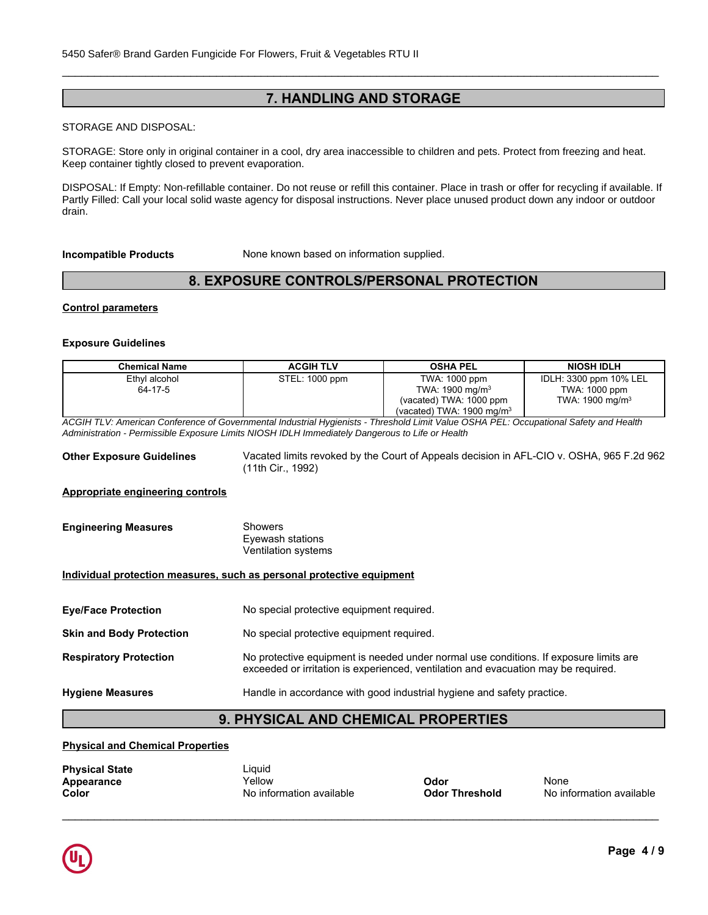# **7. HANDLING AND STORAGE**

\_\_\_\_\_\_\_\_\_\_\_\_\_\_\_\_\_\_\_\_\_\_\_\_\_\_\_\_\_\_\_\_\_\_\_\_\_\_\_\_\_\_\_\_\_\_\_\_\_\_\_\_\_\_\_\_\_\_\_\_\_\_\_\_\_\_\_\_\_\_\_\_\_\_\_\_\_\_\_\_\_\_\_\_\_\_\_\_\_\_\_\_\_

#### **STORAGE AND DISPOSAL:**

**Keep container tightly closed to prevent evaporation.** Also contact with good industrial hygiene and safety prove skin and eyes. STORAGE: Store only in original container in a cool, dry area inaccessible to children and pets. Protect from freezing and heat.

Partly Filled: Call your local solid waste agency for disposal instructions. Never place unused product down any indoor or outdoor DISPOSAL: If Empty: Non-refillable container. Do not reuse or refill this container. Place in trash or offer for recycling if available. If drain.

**Incompatible Products** None known based on information supplied.

# **8. EXPOSURE CONTROLS/PERSONAL PROTECTION**

#### **Control parameters**

#### **Exposure Guidelines**

| <b>Chemical Name</b>                                                                                                                  | <b>ACGIH TLV</b> | <b>OSHA PEL</b>                      | <b>NIOSH IDLH</b>           |
|---------------------------------------------------------------------------------------------------------------------------------------|------------------|--------------------------------------|-----------------------------|
| Ethyl alcohol                                                                                                                         | STEL: 1000 ppm   | TWA: 1000 ppm                        | IDLH: 3300 ppm 10% LEL      |
| 64-17-5                                                                                                                               |                  | TWA: $1900 \text{ mg/m}^3$           | TWA: 1000 ppm               |
|                                                                                                                                       |                  | (vacated) TWA: 1000 ppm              | TWA: 1900 mg/m <sup>3</sup> |
|                                                                                                                                       |                  | (vacated) TWA: $1900 \text{ mg/m}^3$ |                             |
| ACGIH TLV: American Conference of Governmental Industrial Hygienists - Threshold Limit Value OSHA PEL: Occupational Safety and Health |                  |                                      |                             |

*Administration - Permissible Exposure Limits NIOSH IDLH Immediately Dangerous to Life or Health*

**Other Exposure Guidelines** Vacated limits revoked by the Court of Appeals decision in AFL-CIO v. OSHA, 965 F.2d 962 (11th Cir., 1992)

#### **Appropriate engineering controls**

| <b>Engineering Measures</b> | Showers             |  |
|-----------------------------|---------------------|--|
|                             | Eyewash stations    |  |
|                             | Ventilation systems |  |

#### **Individual protection measures, such as personal protective equipment**

| <b>Eye/Face Protection</b> | No special protective equipment required. |
|----------------------------|-------------------------------------------|
|----------------------------|-------------------------------------------|

| <b>Skin and Body Protection</b> | No special protective equipment required. |
|---------------------------------|-------------------------------------------|
|---------------------------------|-------------------------------------------|

# **Respiratory Protection** No protective equipment is needed under normal use conditions. If exposure limits are exceeded or irritation is experienced, ventilation and evacuation may be required.

**Hygiene Measures** Handle in accordance with good industrial hygiene and safety practice.

# **9. PHYSICAL AND CHEMICAL PROPERTIES**

#### **Physical and Chemical Properties**

| <b>Physical State</b> | Liquid                   |                       |                          |
|-----------------------|--------------------------|-----------------------|--------------------------|
| Appearance            | Yellow                   | Odor                  | None                     |
| Color                 | No information available | <b>Odor Threshold</b> | No information available |

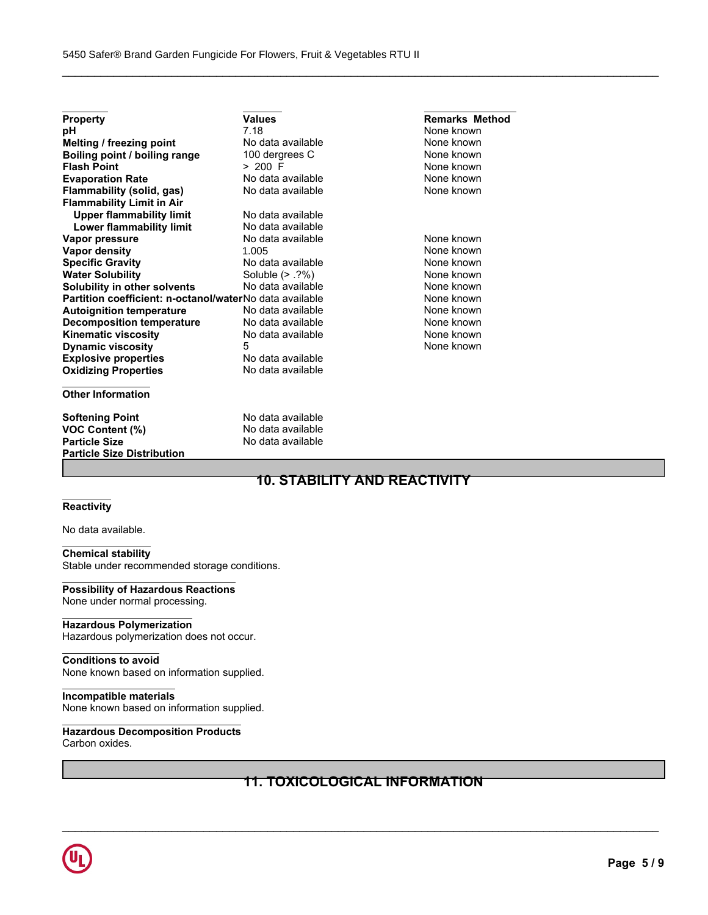| <b>Property</b>                                         | Values            | <b>Remarks Method</b> |
|---------------------------------------------------------|-------------------|-----------------------|
| рH                                                      | 7.18              | None known            |
| Melting / freezing point                                | No data available | None known            |
| Boiling point / boiling range                           | 100 dergrees C    | None known            |
| <b>Flash Point</b>                                      | $> 200$ F         | None known            |
| <b>Evaporation Rate</b>                                 | No data available | None known            |
| Flammability (solid, gas)                               | No data available | None known            |
| <b>Flammability Limit in Air</b>                        |                   |                       |
| <b>Upper flammability limit</b>                         | No data available |                       |
| Lower flammability limit                                | No data available |                       |
| Vapor pressure                                          | No data available | None known            |
| <b>Vapor density</b>                                    | 1.005             | None known            |
| <b>Specific Gravity</b>                                 | No data available | None known            |
| <b>Water Solubility</b>                                 | Soluble $(> .?%)$ | None known            |
| Solubility in other solvents                            | No data available | None known            |
| Partition coefficient: n-octanol/waterNo data available |                   | None known            |
| <b>Autoignition temperature</b>                         | No data available | None known            |
| <b>Decomposition temperature</b>                        | No data available | None known            |
| <b>Kinematic viscosity</b>                              | No data available | None known            |
| <b>Dynamic viscosity</b>                                | 5                 | None known            |
| <b>Explosive properties</b>                             | No data available |                       |
| <b>Oxidizing Properties</b>                             | No data available |                       |
| <b>Other Information</b>                                |                   |                       |
| <b>Softening Point</b>                                  | No data available |                       |
| <b>VOC Content (%)</b>                                  | No data available |                       |
| <b>Particle Size</b>                                    | No data available |                       |
| <b>Particle Size Distribution</b>                       |                   |                       |

# **10. STABILITY AND REACTIVITY**

\_\_\_\_\_\_\_\_\_\_\_\_\_\_\_\_\_\_\_\_\_\_\_\_\_\_\_\_\_\_\_\_\_\_\_\_\_\_\_\_\_\_\_\_\_\_\_\_\_\_\_\_\_\_\_\_\_\_\_\_\_\_\_\_\_\_\_\_\_\_\_\_\_\_\_\_\_\_\_\_\_\_\_\_\_\_\_\_\_\_\_\_\_

#### **Reactivity**

No data available.

# **Chemical stability**

Stable under recommended storage conditions.

# **Possibility of Hazardous Reactions**

None under normal processing.

#### **Hazardous Polymerization**

Hazardous polymerization does not occur.

## **Conditions to avoid**

None known based on information supplied.

#### **Incompatible materials**

None known based on information supplied.

#### **Hazardous Decomposition Products** Carbon oxides.

# **11. TOXICOLOGICAL INFORMATION**

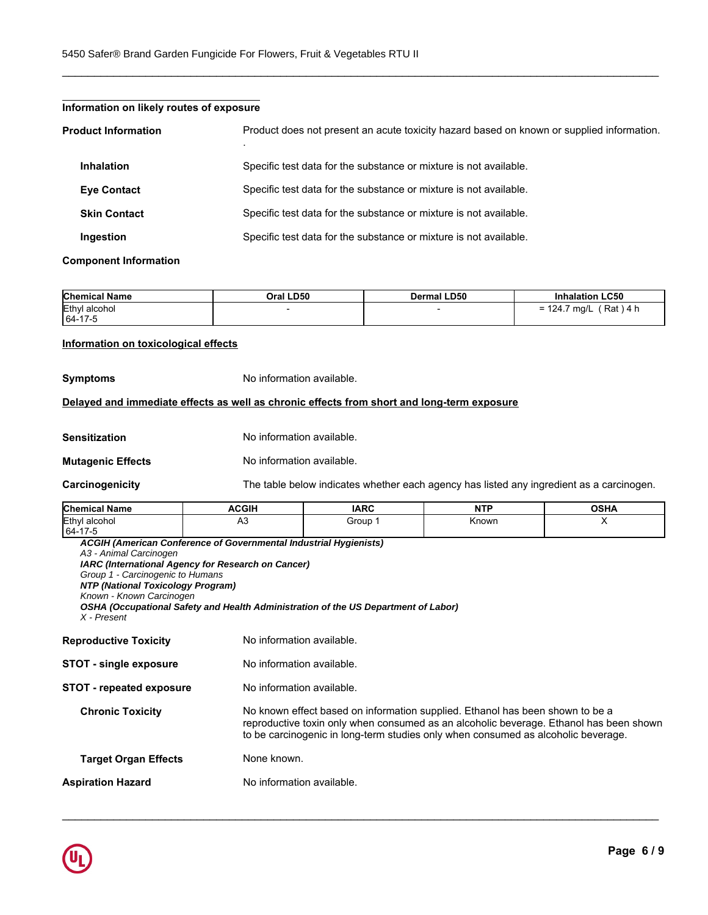| Information on likely routes of exposure |                                                                                           |
|------------------------------------------|-------------------------------------------------------------------------------------------|
| <b>Product Information</b>               | Product does not present an acute toxicity hazard based on known or supplied information. |
| <b>Inhalation</b>                        | Specific test data for the substance or mixture is not available.                         |
| <b>Eve Contact</b>                       | Specific test data for the substance or mixture is not available.                         |
| <b>Skin Contact</b>                      | Specific test data for the substance or mixture is not available.                         |
| Ingestion                                | Specific test data for the substance or mixture is not available.                         |

\_\_\_\_\_\_\_\_\_\_\_\_\_\_\_\_\_\_\_\_\_\_\_\_\_\_\_\_\_\_\_\_\_\_\_\_\_\_\_\_\_\_\_\_\_\_\_\_\_\_\_\_\_\_\_\_\_\_\_\_\_\_\_\_\_\_\_\_\_\_\_\_\_\_\_\_\_\_\_\_\_\_\_\_\_\_\_\_\_\_\_\_\_

#### **Component Information**

| <b>Chemical Name</b> | Oral LD50 | Dermal LD50 | <b>Inhalation LC50</b>                           |
|----------------------|-----------|-------------|--------------------------------------------------|
| Ethyl<br>alcohol     |           |             | Rat<br>\ 4 h<br>ma/L<br>74.7ء<br>— <i>-</i><br>- |
| 64-17-5              |           |             |                                                  |

#### **Information on toxicological effects**

**Symptoms** No information available.

#### **Delayed and immediate effects as well as chronic effects from short and long-term exposure**

| No information available.<br>Sensitization |  |
|--------------------------------------------|--|
|--------------------------------------------|--|

#### **Mutagenic Effects** No information available.

**Carcinogenicity** The table below indicates whether each agency has listed any ingredient as a carcinogen.

| <b>Chemical Name</b> | ACGIH | <b>IARC</b> | .<br>NT | <b>OCUA</b><br>ujna |
|----------------------|-------|-------------|---------|---------------------|
| Ethyl<br>⊺alcohol    | nυ    | Group       | Known   |                     |
| 64-17-5              |       |             |         |                     |

*ACGIH (American Conference of Governmental Industrial Hygienists) A3 - Animal Carcinogen IARC (International Agency for Research on Cancer) Group 1 - Carcinogenic to Humans NTP (National Toxicology Program) Known - Known Carcinogen OSHA (Occupational Safety and Health Administration of the US Department of Labor) X - Present*

| <b>Reproductive Toxicity</b>    | No information available.                                                                                                                                                                                                                                    |
|---------------------------------|--------------------------------------------------------------------------------------------------------------------------------------------------------------------------------------------------------------------------------------------------------------|
| <b>STOT - single exposure</b>   | No information available.                                                                                                                                                                                                                                    |
| <b>STOT - repeated exposure</b> | No information available.                                                                                                                                                                                                                                    |
| <b>Chronic Toxicity</b>         | No known effect based on information supplied. Ethanol has been shown to be a<br>reproductive toxin only when consumed as an alcoholic beverage. Ethanol has been shown<br>to be carcinogenic in long-term studies only when consumed as alcoholic beverage. |
| <b>Target Organ Effects</b>     | None known.                                                                                                                                                                                                                                                  |
| <b>Aspiration Hazard</b>        | No information available.                                                                                                                                                                                                                                    |
|                                 |                                                                                                                                                                                                                                                              |

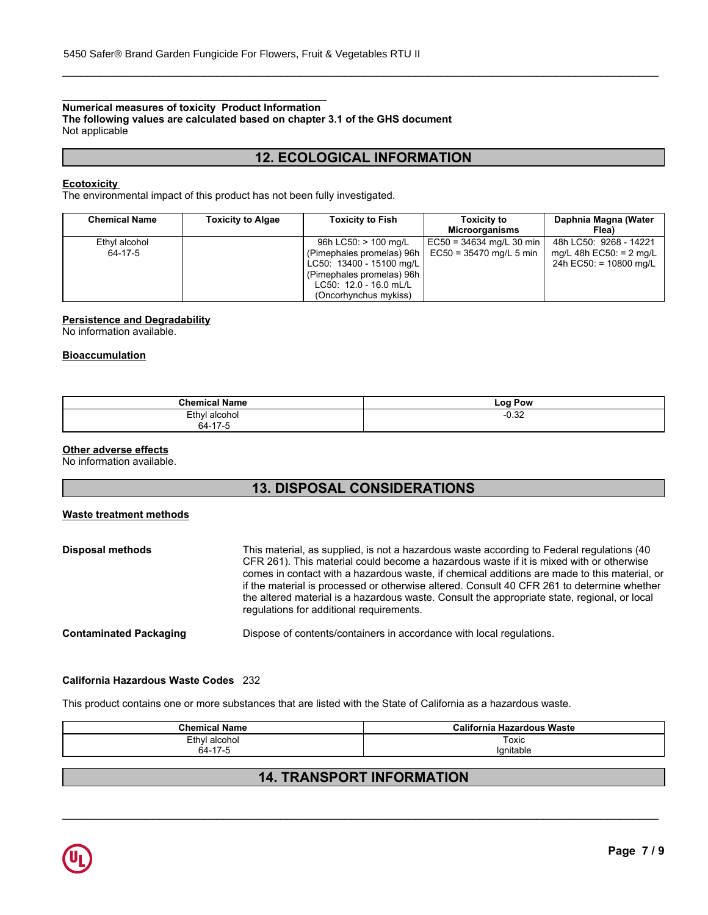# **Numerical measures of toxicity Product Information**

**The following values are calculated based on chapter 3.1 of the GHS document** Not applicable

# **12. ECOLOGICAL INFORMATION**

\_\_\_\_\_\_\_\_\_\_\_\_\_\_\_\_\_\_\_\_\_\_\_\_\_\_\_\_\_\_\_\_\_\_\_\_\_\_\_\_\_\_\_\_\_\_\_\_\_\_\_\_\_\_\_\_\_\_\_\_\_\_\_\_\_\_\_\_\_\_\_\_\_\_\_\_\_\_\_\_\_\_\_\_\_\_\_\_\_\_\_\_\_

## **Ecotoxicity**

The environmental impact of this product has not been fully investigated.

| <b>Chemical Name</b> | <b>Toxicity to Algae</b> | <b>Toxicity to Fish</b>   | <b>Toxicity to</b><br><b>Microorganisms</b> | Daphnia Magna (Water<br>Flea) |
|----------------------|--------------------------|---------------------------|---------------------------------------------|-------------------------------|
| Ethyl alcohol        |                          | 96h LC50: > 100 mg/L      | $ EC50 = 34634$ mg/L 30 min                 | 48h LC50: 9268 - 14221        |
| 64-17-5              |                          | (Pimephales promelas) 96h | $EC50 = 35470$ mg/L 5 min                   | mg/L 48h EC50: = 2 mg/L       |
|                      |                          | LC50: 13400 - 15100 mg/L  |                                             | 24h EC50: = 10800 mg/L        |
|                      |                          | (Pimephales promelas) 96h |                                             |                               |
|                      |                          | LC50: 12.0 - 16.0 mL/L    |                                             |                               |
|                      |                          | (Oncorhynchus mykiss)     |                                             |                               |

#### **Persistence and Degradability**

No information available.

## **Bioaccumulation**

| Chamisar<br>`Name<br>шса<br>. will be                     | Pow<br>LOO <sup>1</sup> |
|-----------------------------------------------------------|-------------------------|
| Ethyl<br>' alcohol<br>.<br>$\sim$<br>$\rightarrow$<br>64- | $\sqrt{2}$<br>ےں. ن     |

#### **Other adverse effects**

No information available.

# **13. DISPOSAL CONSIDERATIONS**

#### **Waste treatment methods**

| <b>Disposal methods</b>       | This material, as supplied, is not a hazardous waste according to Federal regulations (40<br>CFR 261). This material could become a hazardous waste if it is mixed with or otherwise<br>comes in contact with a hazardous waste, if chemical additions are made to this material, or<br>if the material is processed or otherwise altered. Consult 40 CFR 261 to determine whether<br>the altered material is a hazardous waste. Consult the appropriate state, regional, or local<br>regulations for additional requirements. |
|-------------------------------|--------------------------------------------------------------------------------------------------------------------------------------------------------------------------------------------------------------------------------------------------------------------------------------------------------------------------------------------------------------------------------------------------------------------------------------------------------------------------------------------------------------------------------|
| <b>Contaminated Packaging</b> | Dispose of contents/containers in accordance with local regulations.                                                                                                                                                                                                                                                                                                                                                                                                                                                           |

#### **California Hazardous Waste Codes** 232

This product contains one or more substances that are listed with the State of California as a hazardous waste.

| . .<br>Chemical<br>Name  | 0.12<br>⊦ Hazardous Waste<br>California |
|--------------------------|-----------------------------------------|
| Ethyl alcohol            | Toxic                                   |
| 17<br>64-<br>-<br>$11 -$ | . .<br>.'∩nitau                         |

# **14. TRANSPORT INFORMATION**

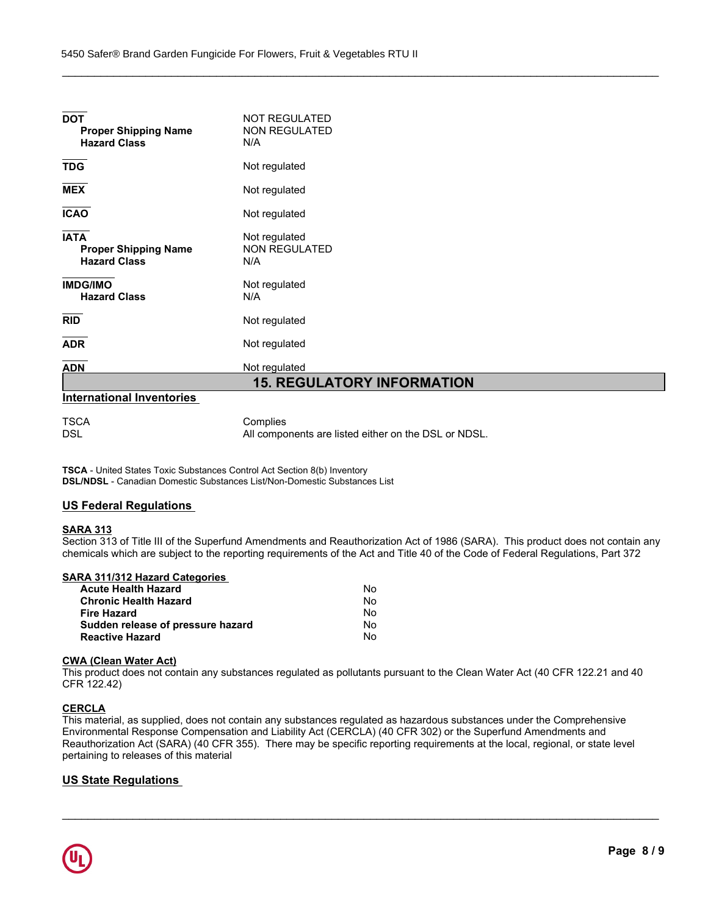| <b>DOT</b><br><b>Proper Shipping Name</b><br><b>Hazard Class</b>  | <b>NOT REGULATED</b><br><b>NON REGULATED</b><br>N/A |
|-------------------------------------------------------------------|-----------------------------------------------------|
| <b>TDG</b>                                                        | Not regulated                                       |
| <b>MEX</b>                                                        | Not regulated                                       |
| <b>ICAO</b>                                                       | Not regulated                                       |
| <b>IATA</b><br><b>Proper Shipping Name</b><br><b>Hazard Class</b> | Not regulated<br><b>NON REGULATED</b><br>N/A        |
| <b>IMDG/IMO</b><br><b>Hazard Class</b>                            | Not regulated<br>N/A                                |
| <b>RID</b>                                                        | Not regulated                                       |
| <b>ADR</b>                                                        | Not regulated                                       |
| <b>ADN</b>                                                        | Not regulated                                       |
|                                                                   | <b>15. REGULATORY INFORMATION</b>                   |
| <b>International Inventories</b>                                  |                                                     |
| <b>TSCA</b>                                                       | Complies                                            |

\_\_\_\_\_\_\_\_\_\_\_\_\_\_\_\_\_\_\_\_\_\_\_\_\_\_\_\_\_\_\_\_\_\_\_\_\_\_\_\_\_\_\_\_\_\_\_\_\_\_\_\_\_\_\_\_\_\_\_\_\_\_\_\_\_\_\_\_\_\_\_\_\_\_\_\_\_\_\_\_\_\_\_\_\_\_\_\_\_\_\_\_\_

DSL DSL All components are listed either on the DSL or NDSL.

**TSCA** - United States Toxic Substances Control Act Section 8(b) Inventory **DSL/NDSL** - Canadian Domestic Substances List/Non-Domestic Substances List

# **US Federal Regulations**

## **SARA 313**

Section 313 of Title III of the Superfund Amendments and Reauthorization Act of 1986 (SARA). This product does not contain any chemicals which are subject to the reporting requirements of the Act and Title 40 of the Code of Federal Regulations, Part 372

# **SARA 311/312 Hazard Categories**

| <b>Acute Health Hazard</b>        | Nο |
|-----------------------------------|----|
| <b>Chronic Health Hazard</b>      | No |
| <b>Fire Hazard</b>                | N٥ |
| Sudden release of pressure hazard | No |
| <b>Reactive Hazard</b>            | No |

#### **CWA (Clean Water Act)**

This product does not contain any substances regulated as pollutants pursuant to the Clean Water Act (40 CFR 122.21 and 40 CFR 122.42)

# **CERCLA**

This material, as supplied, does not contain any substances regulated as hazardous substances under the Comprehensive Environmental Response Compensation and Liability Act (CERCLA) (40 CFR 302) or the Superfund Amendments and Reauthorization Act (SARA) (40 CFR 355). There may be specific reporting requirements at the local, regional, or state level pertaining to releases of this material

\_\_\_\_\_\_\_\_\_\_\_\_\_\_\_\_\_\_\_\_\_\_\_\_\_\_\_\_\_\_\_\_\_\_\_\_\_\_\_\_\_\_\_\_\_\_\_\_\_\_\_\_\_\_\_\_\_\_\_\_\_\_\_\_\_\_\_\_\_\_\_\_\_\_\_\_\_\_\_\_\_\_\_\_\_\_\_\_\_\_\_\_\_

# **US State Regulations**